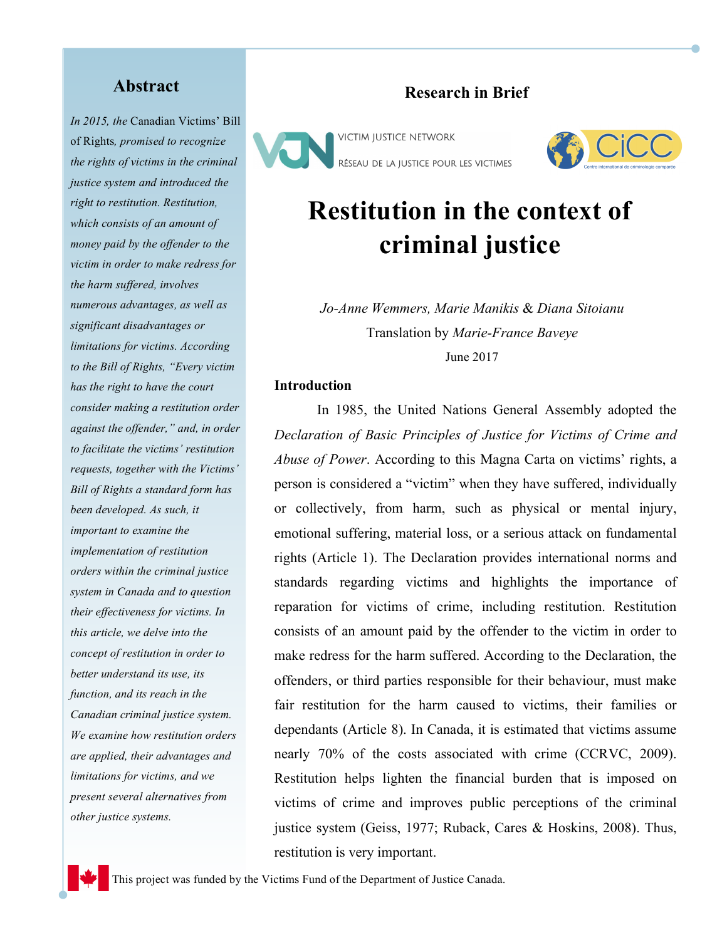*In 2015, the* Canadian Victims' Bill of Rights*, promised to recognize the rights of victims in the criminal justice system and introduced the right to restitution. Restitution, which consists of an amount of money paid by the offender to the victim in order to make redress for the harm suffered, involves numerous advantages, as well as significant disadvantages or limitations for victims. According to the Bill of Rights, "Every victim has the right to have the court consider making a restitution order against the offender," and, in order to facilitate the victims' restitution requests, together with the Victims' Bill of Rights a standard form has been developed. As such, it important to examine the implementation of restitution orders within the criminal justice system in Canada and to question their effectiveness for victims. In this article, we delve into the concept of restitution in order to better understand its use, its function, and its reach in the Canadian criminal justice system. We examine how restitution orders are applied, their advantages and limitations for victims, and we present several alternatives from other justice systems.* 

## **Abstract Research in Brief**

**VICTIM JUSTICE NETWORK** RÉSEAU DE LA JUSTICE POUR LES VICTIMES



# **Restitution in the context of criminal justice**

*Jo-Anne Wemmers, Marie Manikis* & *Diana Sitoianu* Translation by *Marie-France Baveye* June 2017

#### **Introduction**

In 1985, the United Nations General Assembly adopted the *Declaration of Basic Principles of Justice for Victims of Crime and Abuse of Power*. According to this Magna Carta on victims' rights, a person is considered a "victim" when they have suffered, individually or collectively, from harm, such as physical or mental injury, emotional suffering, material loss, or a serious attack on fundamental rights (Article 1). The Declaration provides international norms and standards regarding victims and highlights the importance of reparation for victims of crime, including restitution. Restitution consists of an amount paid by the offender to the victim in order to make redress for the harm suffered. According to the Declaration, the offenders, or third parties responsible for their behaviour, must make fair restitution for the harm caused to victims, their families or dependants (Article 8). In Canada, it is estimated that victims assume nearly 70% of the costs associated with crime (CCRVC, 2009). Restitution helps lighten the financial burden that is imposed on victims of crime and improves public perceptions of the criminal justice system (Geiss, 1977; Ruback, Cares & Hoskins, 2008). Thus, restitution is very important.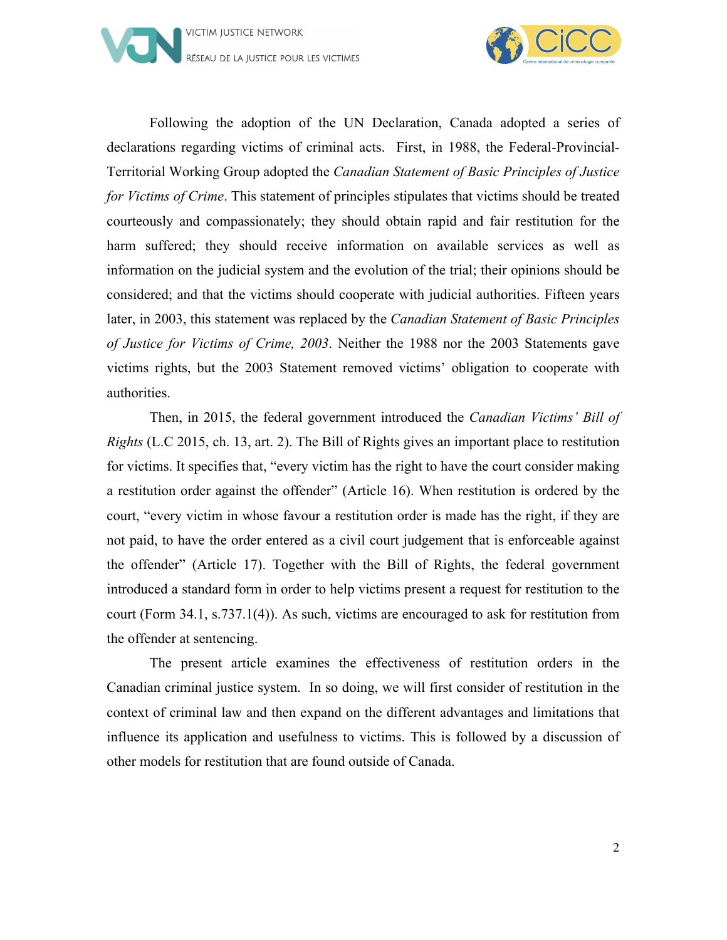



Following the adoption of the UN Declaration, Canada adopted a series of declarations regarding victims of criminal acts. First, in 1988, the Federal-Provincial-Territorial Working Group adopted the *Canadian Statement of Basic Principles of Justice for Victims of Crime*. This statement of principles stipulates that victims should be treated courteously and compassionately; they should obtain rapid and fair restitution for the harm suffered; they should receive information on available services as well as information on the judicial system and the evolution of the trial; their opinions should be considered; and that the victims should cooperate with judicial authorities. Fifteen years later, in 2003, this statement was replaced by the *Canadian Statement of Basic Principles of Justice for Victims of Crime, 2003*. Neither the 1988 nor the 2003 Statements gave victims rights, but the 2003 Statement removed victims' obligation to cooperate with authorities.

Then, in 2015, the federal government introduced the *Canadian Victims' Bill of Rights* (L.C 2015, ch. 13, art. 2). The Bill of Rights gives an important place to restitution for victims. It specifies that, "every victim has the right to have the court consider making a restitution order against the offender" (Article 16). When restitution is ordered by the court, "every victim in whose favour a restitution order is made has the right, if they are not paid, to have the order entered as a civil court judgement that is enforceable against the offender" (Article 17). Together with the Bill of Rights, the federal government introduced a standard form in order to help victims present a request for restitution to the court (Form 34.1, s.737.1(4)). As such, victims are encouraged to ask for restitution from the offender at sentencing.

The present article examines the effectiveness of restitution orders in the Canadian criminal justice system. In so doing, we will first consider of restitution in the context of criminal law and then expand on the different advantages and limitations that influence its application and usefulness to victims. This is followed by a discussion of other models for restitution that are found outside of Canada.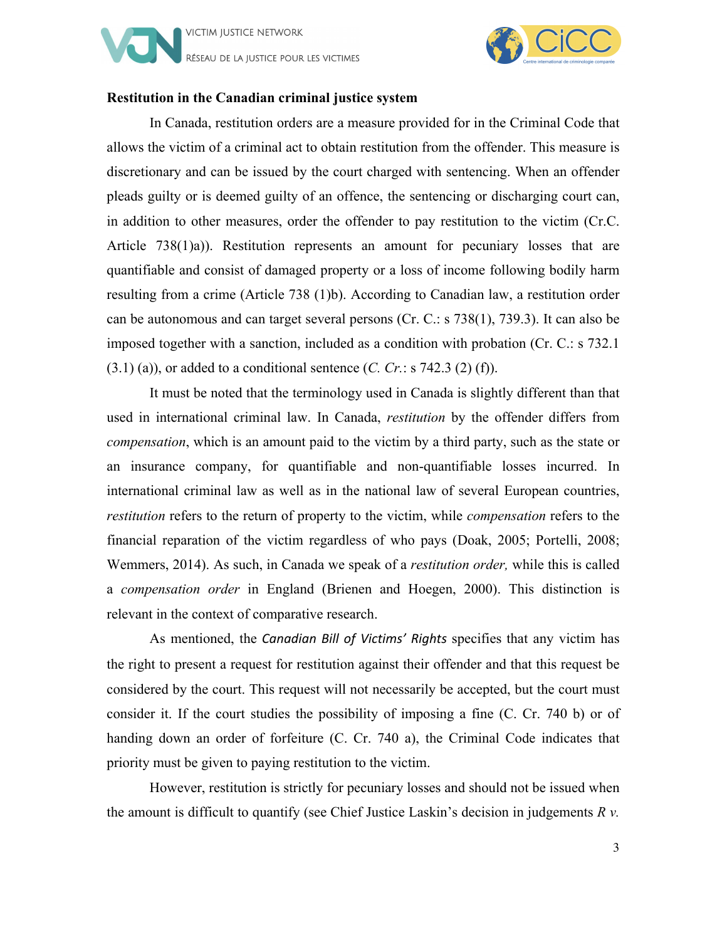



#### **Restitution in the Canadian criminal justice system**

In Canada, restitution orders are a measure provided for in the Criminal Code that allows the victim of a criminal act to obtain restitution from the offender. This measure is discretionary and can be issued by the court charged with sentencing. When an offender pleads guilty or is deemed guilty of an offence, the sentencing or discharging court can, in addition to other measures, order the offender to pay restitution to the victim (Cr.C. Article 738(1)a)). Restitution represents an amount for pecuniary losses that are quantifiable and consist of damaged property or a loss of income following bodily harm resulting from a crime (Article 738 (1)b). According to Canadian law, a restitution order can be autonomous and can target several persons (Cr. C.: s 738(1), 739.3). It can also be imposed together with a sanction, included as a condition with probation (Cr. C.: s 732.1 (3.1) (a)), or added to a conditional sentence (*C. Cr.*: s 742.3 (2) (f)).

It must be noted that the terminology used in Canada is slightly different than that used in international criminal law. In Canada, *restitution* by the offender differs from *compensation*, which is an amount paid to the victim by a third party, such as the state or an insurance company, for quantifiable and non-quantifiable losses incurred. In international criminal law as well as in the national law of several European countries, *restitution* refers to the return of property to the victim, while *compensation* refers to the financial reparation of the victim regardless of who pays (Doak, 2005; Portelli, 2008; Wemmers, 2014). As such, in Canada we speak of a *restitution order,* while this is called a *compensation order* in England (Brienen and Hoegen, 2000). This distinction is relevant in the context of comparative research.

As mentioned, the *Canadian Bill of Victims' Rights* specifies that any victim has the right to present a request for restitution against their offender and that this request be considered by the court. This request will not necessarily be accepted, but the court must consider it. If the court studies the possibility of imposing a fine (C. Cr. 740 b) or of handing down an order of forfeiture (C. Cr. 740 a), the Criminal Code indicates that priority must be given to paying restitution to the victim.

However, restitution is strictly for pecuniary losses and should not be issued when the amount is difficult to quantify (see Chief Justice Laskin's decision in judgements *R v.*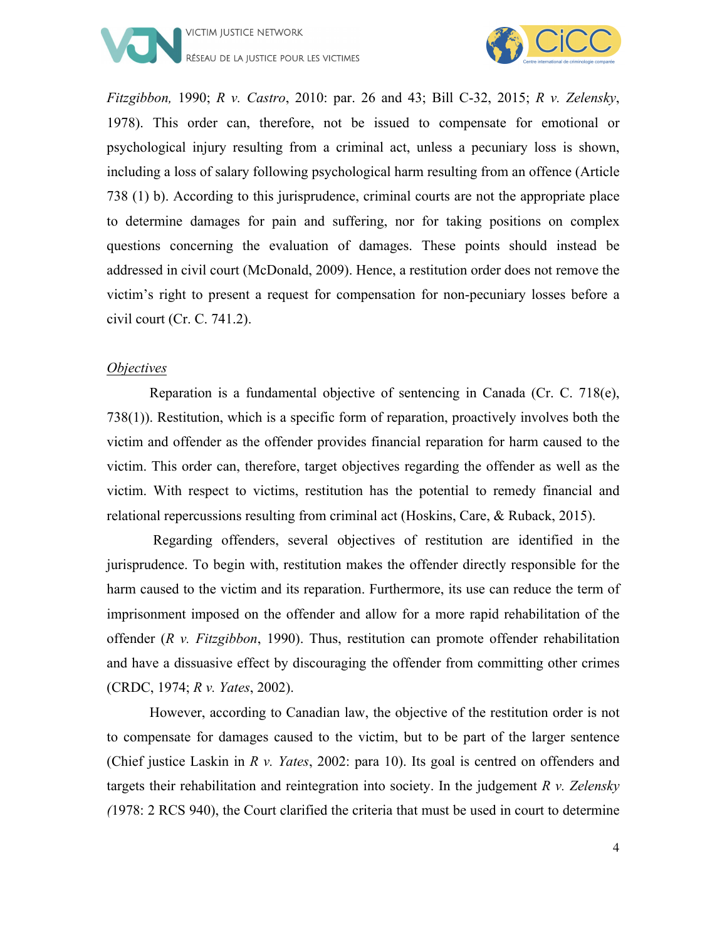



*Fitzgibbon,* 1990; *R v. Castro*, 2010: par. 26 and 43; Bill C-32, 2015; *R v. Zelensky*, 1978). This order can, therefore, not be issued to compensate for emotional or psychological injury resulting from a criminal act, unless a pecuniary loss is shown, including a loss of salary following psychological harm resulting from an offence (Article 738 (1) b). According to this jurisprudence, criminal courts are not the appropriate place to determine damages for pain and suffering, nor for taking positions on complex questions concerning the evaluation of damages. These points should instead be addressed in civil court (McDonald, 2009). Hence, a restitution order does not remove the victim's right to present a request for compensation for non-pecuniary losses before a civil court (Cr. C. 741.2).

#### *Objectives*

Reparation is a fundamental objective of sentencing in Canada (Cr. C. 718(e), 738(1)). Restitution, which is a specific form of reparation, proactively involves both the victim and offender as the offender provides financial reparation for harm caused to the victim. This order can, therefore, target objectives regarding the offender as well as the victim. With respect to victims, restitution has the potential to remedy financial and relational repercussions resulting from criminal act (Hoskins, Care, & Ruback, 2015).

Regarding offenders, several objectives of restitution are identified in the jurisprudence. To begin with, restitution makes the offender directly responsible for the harm caused to the victim and its reparation. Furthermore, its use can reduce the term of imprisonment imposed on the offender and allow for a more rapid rehabilitation of the offender (*R v. Fitzgibbon*, 1990). Thus, restitution can promote offender rehabilitation and have a dissuasive effect by discouraging the offender from committing other crimes (CRDC, 1974; *R v. Yates*, 2002).

However, according to Canadian law, the objective of the restitution order is not to compensate for damages caused to the victim, but to be part of the larger sentence (Chief justice Laskin in *R v. Yates*, 2002: para 10). Its goal is centred on offenders and targets their rehabilitation and reintegration into society. In the judgement *R v. Zelensky (*1978: 2 RCS 940), the Court clarified the criteria that must be used in court to determine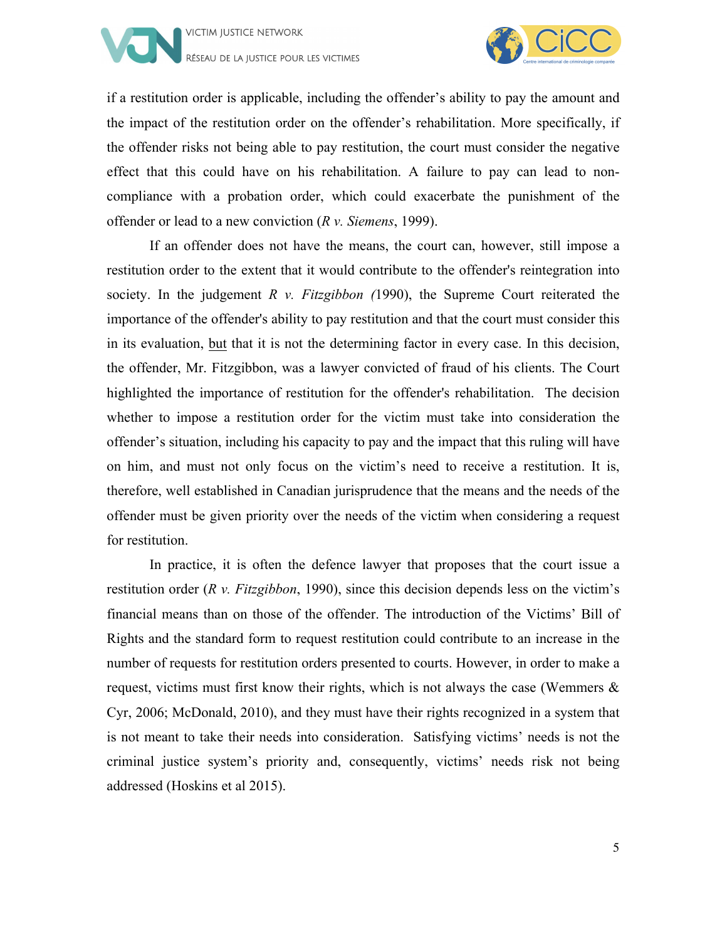



if a restitution order is applicable, including the offender's ability to pay the amount and the impact of the restitution order on the offender's rehabilitation. More specifically, if the offender risks not being able to pay restitution, the court must consider the negative effect that this could have on his rehabilitation. A failure to pay can lead to noncompliance with a probation order, which could exacerbate the punishment of the offender or lead to a new conviction (*R v. Siemens*, 1999).

If an offender does not have the means, the court can, however, still impose a restitution order to the extent that it would contribute to the offender's reintegration into society. In the judgement *R v. Fitzgibbon (*1990), the Supreme Court reiterated the importance of the offender's ability to pay restitution and that the court must consider this in its evaluation, but that it is not the determining factor in every case. In this decision, the offender, Mr. Fitzgibbon, was a lawyer convicted of fraud of his clients. The Court highlighted the importance of restitution for the offender's rehabilitation. The decision whether to impose a restitution order for the victim must take into consideration the offender's situation, including his capacity to pay and the impact that this ruling will have on him, and must not only focus on the victim's need to receive a restitution. It is, therefore, well established in Canadian jurisprudence that the means and the needs of the offender must be given priority over the needs of the victim when considering a request for restitution.

In practice, it is often the defence lawyer that proposes that the court issue a restitution order (*R v. Fitzgibbon*, 1990), since this decision depends less on the victim's financial means than on those of the offender. The introduction of the Victims' Bill of Rights and the standard form to request restitution could contribute to an increase in the number of requests for restitution orders presented to courts. However, in order to make a request, victims must first know their rights, which is not always the case (Wemmers & Cyr, 2006; McDonald, 2010), and they must have their rights recognized in a system that is not meant to take their needs into consideration. Satisfying victims' needs is not the criminal justice system's priority and, consequently, victims' needs risk not being addressed (Hoskins et al 2015).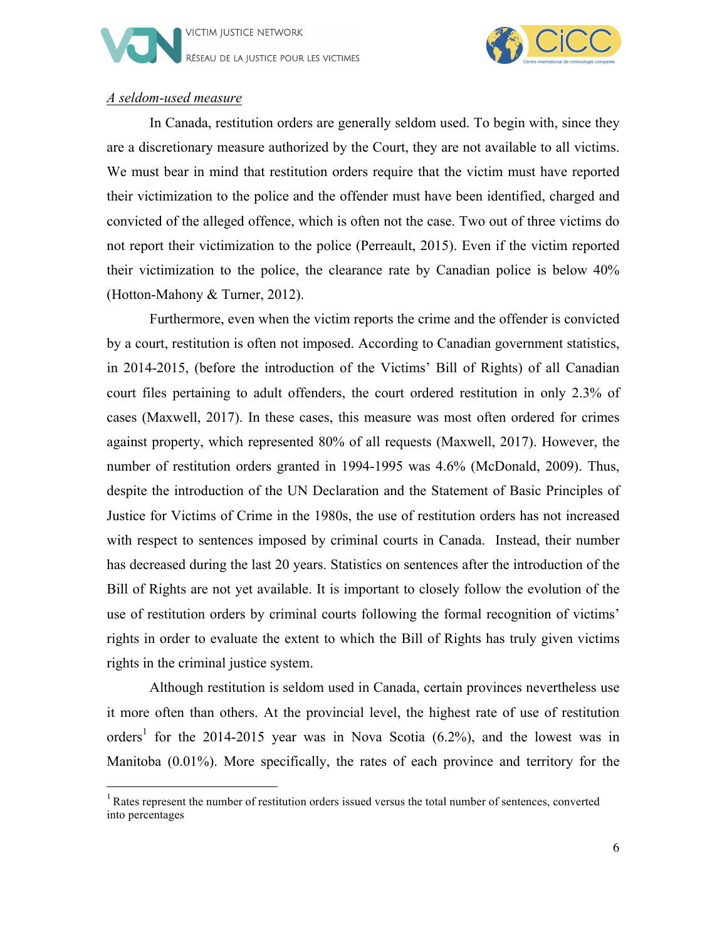



#### *A seldom-used measure*

<u> 1989 - Jan Stein Stein, fransk politiker (d. 1989)</u>

In Canada, restitution orders are generally seldom used. To begin with, since they are a discretionary measure authorized by the Court, they are not available to all victims. We must bear in mind that restitution orders require that the victim must have reported their victimization to the police and the offender must have been identified, charged and convicted of the alleged offence, which is often not the case. Two out of three victims do not report their victimization to the police (Perreault, 2015). Even if the victim reported their victimization to the police, the clearance rate by Canadian police is below 40% (Hotton-Mahony & Turner, 2012).

Furthermore, even when the victim reports the crime and the offender is convicted by a court, restitution is often not imposed. According to Canadian government statistics, in 2014-2015, (before the introduction of the Victims' Bill of Rights) of all Canadian court files pertaining to adult offenders, the court ordered restitution in only 2.3% of cases (Maxwell, 2017). In these cases, this measure was most often ordered for crimes against property, which represented 80% of all requests (Maxwell, 2017). However, the number of restitution orders granted in 1994-1995 was 4.6% (McDonald, 2009). Thus, despite the introduction of the UN Declaration and the Statement of Basic Principles of Justice for Victims of Crime in the 1980s, the use of restitution orders has not increased with respect to sentences imposed by criminal courts in Canada. Instead, their number has decreased during the last 20 years. Statistics on sentences after the introduction of the Bill of Rights are not yet available. It is important to closely follow the evolution of the use of restitution orders by criminal courts following the formal recognition of victims' rights in order to evaluate the extent to which the Bill of Rights has truly given victims rights in the criminal justice system.

Although restitution is seldom used in Canada, certain provinces nevertheless use it more often than others. At the provincial level, the highest rate of use of restitution orders<sup>1</sup> for the 2014-2015 year was in Nova Scotia  $(6.2\%)$ , and the lowest was in Manitoba (0.01%). More specifically, the rates of each province and territory for the

<sup>&</sup>lt;sup>1</sup> Rates represent the number of restitution orders issued versus the total number of sentences, converted into percentages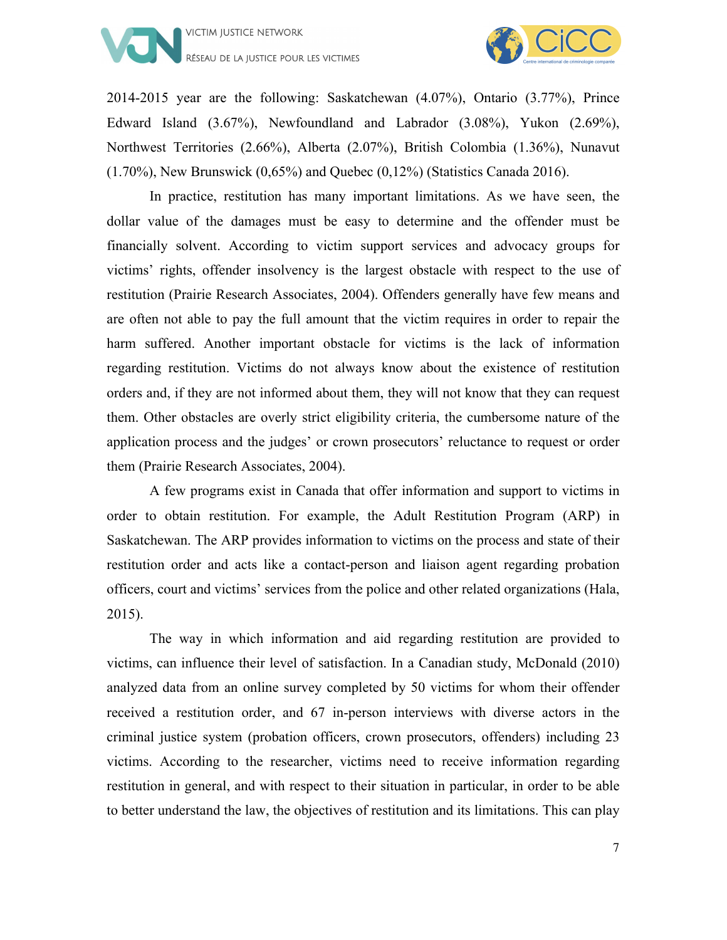



2014-2015 year are the following: Saskatchewan (4.07%), Ontario (3.77%), Prince Edward Island (3.67%), Newfoundland and Labrador (3.08%), Yukon (2.69%), Northwest Territories (2.66%), Alberta (2.07%), British Colombia (1.36%), Nunavut  $(1.70\%)$ , New Brunswick  $(0.65\%)$  and Quebec  $(0.12\%)$  (Statistics Canada 2016).

In practice, restitution has many important limitations. As we have seen, the dollar value of the damages must be easy to determine and the offender must be financially solvent. According to victim support services and advocacy groups for victims' rights, offender insolvency is the largest obstacle with respect to the use of restitution (Prairie Research Associates, 2004). Offenders generally have few means and are often not able to pay the full amount that the victim requires in order to repair the harm suffered. Another important obstacle for victims is the lack of information regarding restitution. Victims do not always know about the existence of restitution orders and, if they are not informed about them, they will not know that they can request them. Other obstacles are overly strict eligibility criteria, the cumbersome nature of the application process and the judges' or crown prosecutors' reluctance to request or order them (Prairie Research Associates, 2004).

A few programs exist in Canada that offer information and support to victims in order to obtain restitution. For example, the Adult Restitution Program (ARP) in Saskatchewan. The ARP provides information to victims on the process and state of their restitution order and acts like a contact-person and liaison agent regarding probation officers, court and victims' services from the police and other related organizations (Hala, 2015).

The way in which information and aid regarding restitution are provided to victims, can influence their level of satisfaction. In a Canadian study, McDonald (2010) analyzed data from an online survey completed by 50 victims for whom their offender received a restitution order, and 67 in-person interviews with diverse actors in the criminal justice system (probation officers, crown prosecutors, offenders) including 23 victims. According to the researcher, victims need to receive information regarding restitution in general, and with respect to their situation in particular, in order to be able to better understand the law, the objectives of restitution and its limitations. This can play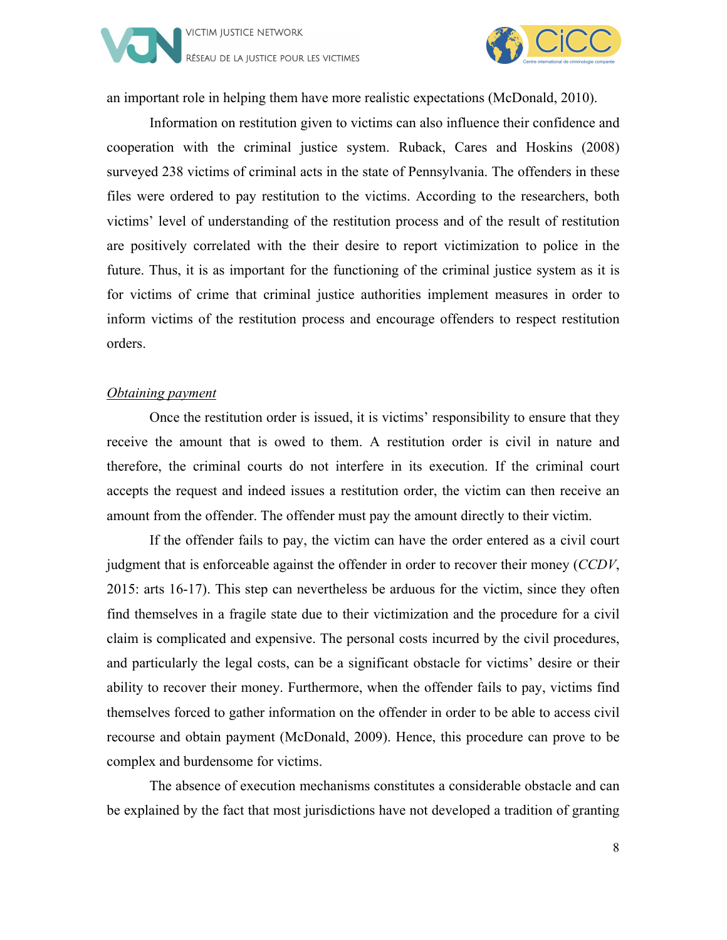



an important role in helping them have more realistic expectations (McDonald, 2010).

Information on restitution given to victims can also influence their confidence and cooperation with the criminal justice system. Ruback, Cares and Hoskins (2008) surveyed 238 victims of criminal acts in the state of Pennsylvania. The offenders in these files were ordered to pay restitution to the victims. According to the researchers, both victims' level of understanding of the restitution process and of the result of restitution are positively correlated with the their desire to report victimization to police in the future. Thus, it is as important for the functioning of the criminal justice system as it is for victims of crime that criminal justice authorities implement measures in order to inform victims of the restitution process and encourage offenders to respect restitution orders.

#### *Obtaining payment*

Once the restitution order is issued, it is victims' responsibility to ensure that they receive the amount that is owed to them. A restitution order is civil in nature and therefore, the criminal courts do not interfere in its execution. If the criminal court accepts the request and indeed issues a restitution order, the victim can then receive an amount from the offender. The offender must pay the amount directly to their victim.

If the offender fails to pay, the victim can have the order entered as a civil court judgment that is enforceable against the offender in order to recover their money (*CCDV*, 2015: arts 16-17). This step can nevertheless be arduous for the victim, since they often find themselves in a fragile state due to their victimization and the procedure for a civil claim is complicated and expensive. The personal costs incurred by the civil procedures, and particularly the legal costs, can be a significant obstacle for victims' desire or their ability to recover their money. Furthermore, when the offender fails to pay, victims find themselves forced to gather information on the offender in order to be able to access civil recourse and obtain payment (McDonald, 2009). Hence, this procedure can prove to be complex and burdensome for victims.

The absence of execution mechanisms constitutes a considerable obstacle and can be explained by the fact that most jurisdictions have not developed a tradition of granting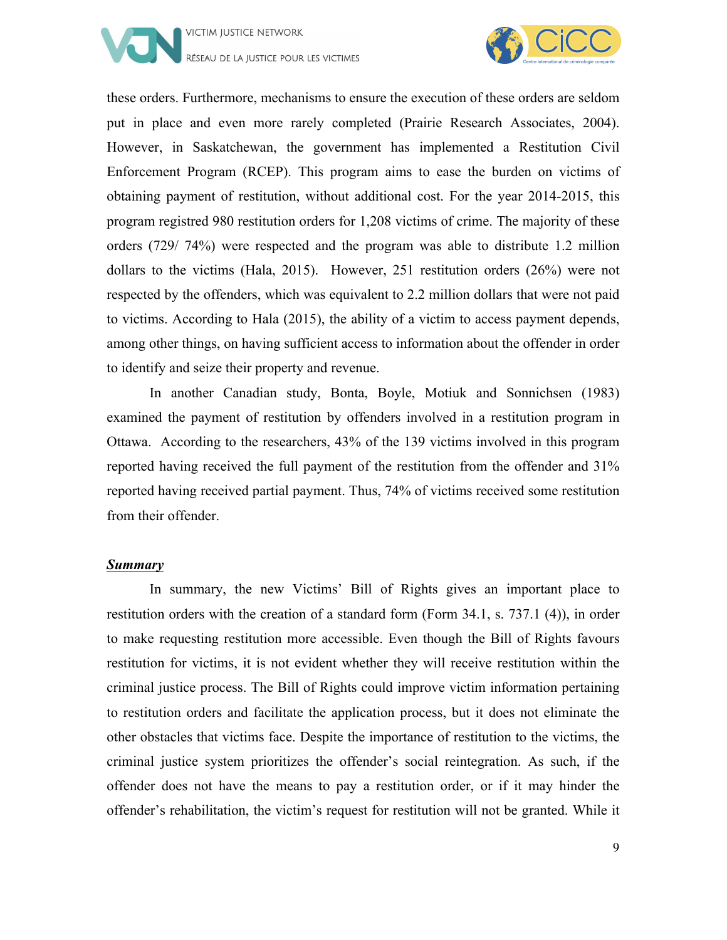



these orders. Furthermore, mechanisms to ensure the execution of these orders are seldom put in place and even more rarely completed (Prairie Research Associates, 2004). However, in Saskatchewan, the government has implemented a Restitution Civil Enforcement Program (RCEP). This program aims to ease the burden on victims of obtaining payment of restitution, without additional cost. For the year 2014-2015, this program registred 980 restitution orders for 1,208 victims of crime. The majority of these orders (729/ 74%) were respected and the program was able to distribute 1.2 million dollars to the victims (Hala, 2015). However, 251 restitution orders (26%) were not respected by the offenders, which was equivalent to 2.2 million dollars that were not paid to victims. According to Hala (2015), the ability of a victim to access payment depends, among other things, on having sufficient access to information about the offender in order to identify and seize their property and revenue.

In another Canadian study, Bonta, Boyle, Motiuk and Sonnichsen (1983) examined the payment of restitution by offenders involved in a restitution program in Ottawa. According to the researchers, 43% of the 139 victims involved in this program reported having received the full payment of the restitution from the offender and 31% reported having received partial payment. Thus, 74% of victims received some restitution from their offender.

#### *Summary*

In summary, the new Victims' Bill of Rights gives an important place to restitution orders with the creation of a standard form (Form 34.1, s. 737.1 (4)), in order to make requesting restitution more accessible. Even though the Bill of Rights favours restitution for victims, it is not evident whether they will receive restitution within the criminal justice process. The Bill of Rights could improve victim information pertaining to restitution orders and facilitate the application process, but it does not eliminate the other obstacles that victims face. Despite the importance of restitution to the victims, the criminal justice system prioritizes the offender's social reintegration. As such, if the offender does not have the means to pay a restitution order, or if it may hinder the offender's rehabilitation, the victim's request for restitution will not be granted. While it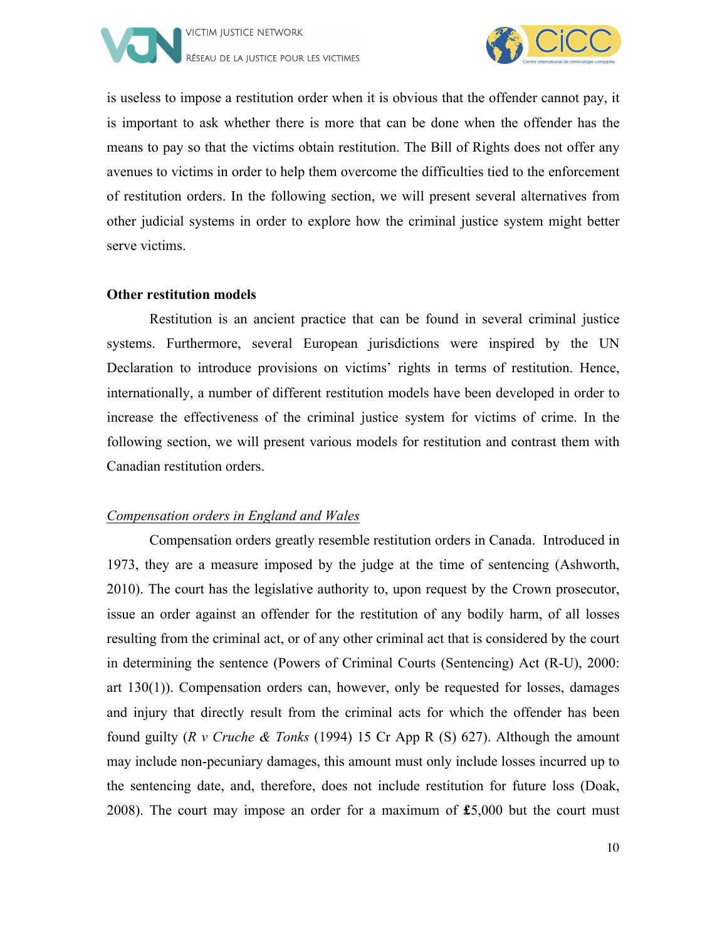



is useless to impose a restitution order when it is obvious that the offender cannot pay, it is important to ask whether there is more that can be done when the offender has the means to pay so that the victims obtain restitution. The Bill of Rights does not offer any avenues to victims in order to help them overcome the difficulties tied to the enforcement of restitution orders. In the following section, we will present several alternatives from other judicial systems in order to explore how the criminal justice system might better serve victims.

#### **Other restitution models**

Restitution is an ancient practice that can be found in several criminal justice systems. Furthermore, several European jurisdictions were inspired by the UN Declaration to introduce provisions on victims' rights in terms of restitution. Hence, internationally, a number of different restitution models have been developed in order to increase the effectiveness of the criminal justice system for victims of crime. In the following section, we will present various models for restitution and contrast them with Canadian restitution orders.

#### *Compensation orders in England and Wales*

Compensation orders greatly resemble restitution orders in Canada. Introduced in 1973, they are a measure imposed by the judge at the time of sentencing (Ashworth, 2010). The court has the legislative authority to, upon request by the Crown prosecutor, issue an order against an offender for the restitution of any bodily harm, of all losses resulting from the criminal act, or of any other criminal act that is considered by the court in determining the sentence (Powers of Criminal Courts (Sentencing) Act (R-U), 2000: art 130(1)). Compensation orders can, however, only be requested for losses, damages and injury that directly result from the criminal acts for which the offender has been found guilty (*R v Cruche & Tonks* (1994) 15 Cr App R (S) 627). Although the amount may include non-pecuniary damages, this amount must only include losses incurred up to the sentencing date, and, therefore, does not include restitution for future loss (Doak, 2008). The court may impose an order for a maximum of **£**5,000 but the court must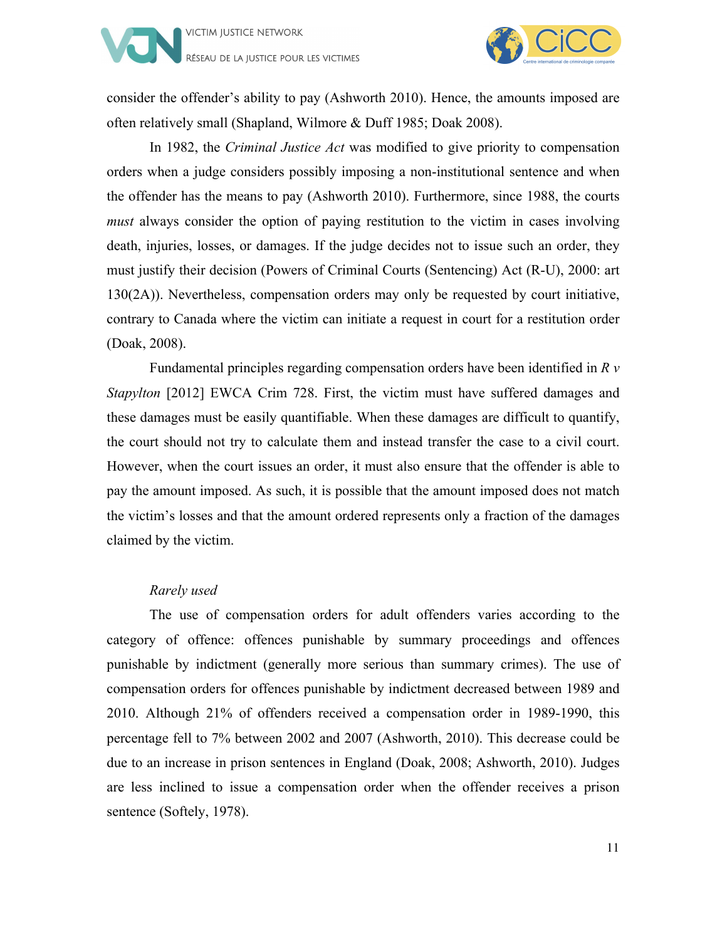



consider the offender's ability to pay (Ashworth 2010). Hence, the amounts imposed are often relatively small (Shapland, Wilmore & Duff 1985; Doak 2008).

In 1982, the *Criminal Justice Act* was modified to give priority to compensation orders when a judge considers possibly imposing a non-institutional sentence and when the offender has the means to pay (Ashworth 2010). Furthermore, since 1988, the courts *must* always consider the option of paying restitution to the victim in cases involving death, injuries, losses, or damages. If the judge decides not to issue such an order, they must justify their decision (Powers of Criminal Courts (Sentencing) Act (R-U), 2000: art 130(2A)). Nevertheless, compensation orders may only be requested by court initiative, contrary to Canada where the victim can initiate a request in court for a restitution order (Doak, 2008).

Fundamental principles regarding compensation orders have been identified in *R v Stapylton* [2012] EWCA Crim 728. First, the victim must have suffered damages and these damages must be easily quantifiable. When these damages are difficult to quantify, the court should not try to calculate them and instead transfer the case to a civil court. However, when the court issues an order, it must also ensure that the offender is able to pay the amount imposed. As such, it is possible that the amount imposed does not match the victim's losses and that the amount ordered represents only a fraction of the damages claimed by the victim.

#### *Rarely used*

The use of compensation orders for adult offenders varies according to the category of offence: offences punishable by summary proceedings and offences punishable by indictment (generally more serious than summary crimes). The use of compensation orders for offences punishable by indictment decreased between 1989 and 2010. Although 21% of offenders received a compensation order in 1989-1990, this percentage fell to 7% between 2002 and 2007 (Ashworth, 2010). This decrease could be due to an increase in prison sentences in England (Doak, 2008; Ashworth, 2010). Judges are less inclined to issue a compensation order when the offender receives a prison sentence (Softely, 1978).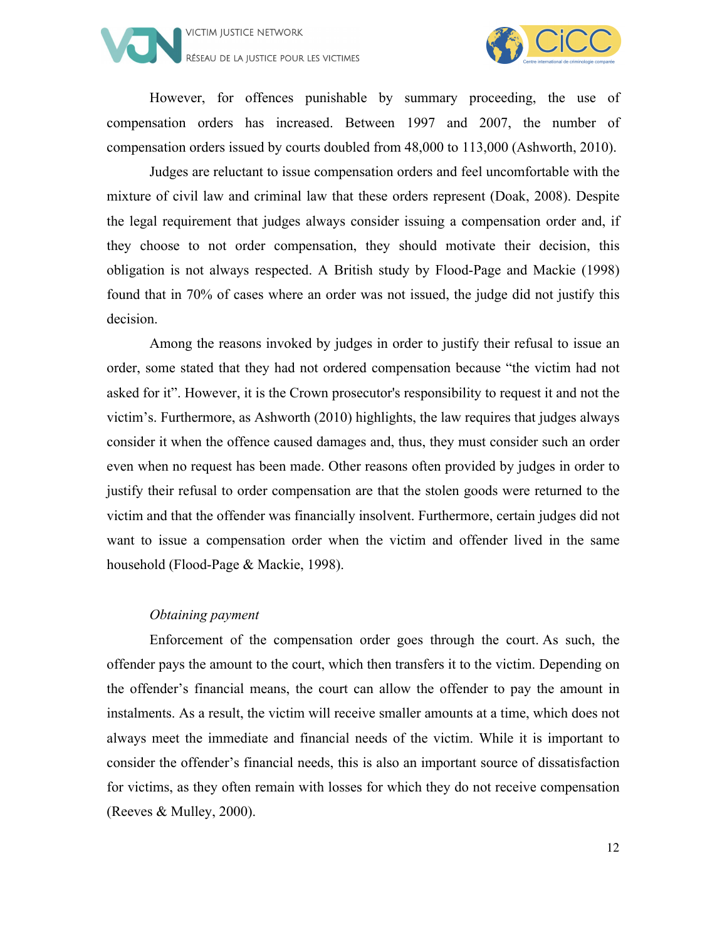



However, for offences punishable by summary proceeding, the use of compensation orders has increased. Between 1997 and 2007, the number of compensation orders issued by courts doubled from 48,000 to 113,000 (Ashworth, 2010).

Judges are reluctant to issue compensation orders and feel uncomfortable with the mixture of civil law and criminal law that these orders represent (Doak, 2008). Despite the legal requirement that judges always consider issuing a compensation order and, if they choose to not order compensation, they should motivate their decision, this obligation is not always respected. A British study by Flood-Page and Mackie (1998) found that in 70% of cases where an order was not issued, the judge did not justify this decision.

Among the reasons invoked by judges in order to justify their refusal to issue an order, some stated that they had not ordered compensation because "the victim had not asked for it". However, it is the Crown prosecutor's responsibility to request it and not the victim's. Furthermore, as Ashworth (2010) highlights, the law requires that judges always consider it when the offence caused damages and, thus, they must consider such an order even when no request has been made. Other reasons often provided by judges in order to justify their refusal to order compensation are that the stolen goods were returned to the victim and that the offender was financially insolvent. Furthermore, certain judges did not want to issue a compensation order when the victim and offender lived in the same household (Flood-Page & Mackie, 1998).

#### *Obtaining payment*

Enforcement of the compensation order goes through the court. As such, the offender pays the amount to the court, which then transfers it to the victim. Depending on the offender's financial means, the court can allow the offender to pay the amount in instalments. As a result, the victim will receive smaller amounts at a time, which does not always meet the immediate and financial needs of the victim. While it is important to consider the offender's financial needs, this is also an important source of dissatisfaction for victims, as they often remain with losses for which they do not receive compensation (Reeves & Mulley, 2000).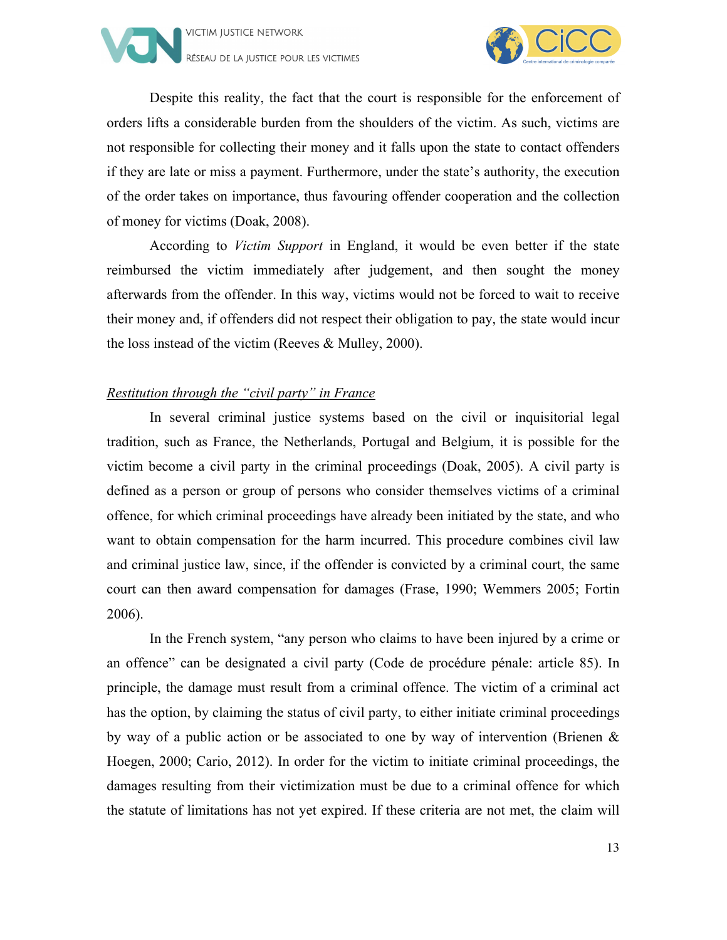



Despite this reality, the fact that the court is responsible for the enforcement of orders lifts a considerable burden from the shoulders of the victim. As such, victims are not responsible for collecting their money and it falls upon the state to contact offenders if they are late or miss a payment. Furthermore, under the state's authority, the execution of the order takes on importance, thus favouring offender cooperation and the collection of money for victims (Doak, 2008).

According to *Victim Support* in England, it would be even better if the state reimbursed the victim immediately after judgement, and then sought the money afterwards from the offender. In this way, victims would not be forced to wait to receive their money and, if offenders did not respect their obligation to pay, the state would incur the loss instead of the victim (Reeves & Mulley, 2000).

#### *Restitution through the "civil party" in France*

In several criminal justice systems based on the civil or inquisitorial legal tradition, such as France, the Netherlands, Portugal and Belgium, it is possible for the victim become a civil party in the criminal proceedings (Doak, 2005). A civil party is defined as a person or group of persons who consider themselves victims of a criminal offence, for which criminal proceedings have already been initiated by the state, and who want to obtain compensation for the harm incurred. This procedure combines civil law and criminal justice law, since, if the offender is convicted by a criminal court, the same court can then award compensation for damages (Frase, 1990; Wemmers 2005; Fortin 2006).

In the French system, "any person who claims to have been injured by a crime or an offence" can be designated a civil party (Code de procédure pénale: article 85). In principle, the damage must result from a criminal offence. The victim of a criminal act has the option, by claiming the status of civil party, to either initiate criminal proceedings by way of a public action or be associated to one by way of intervention (Brienen & Hoegen, 2000; Cario, 2012). In order for the victim to initiate criminal proceedings, the damages resulting from their victimization must be due to a criminal offence for which the statute of limitations has not yet expired. If these criteria are not met, the claim will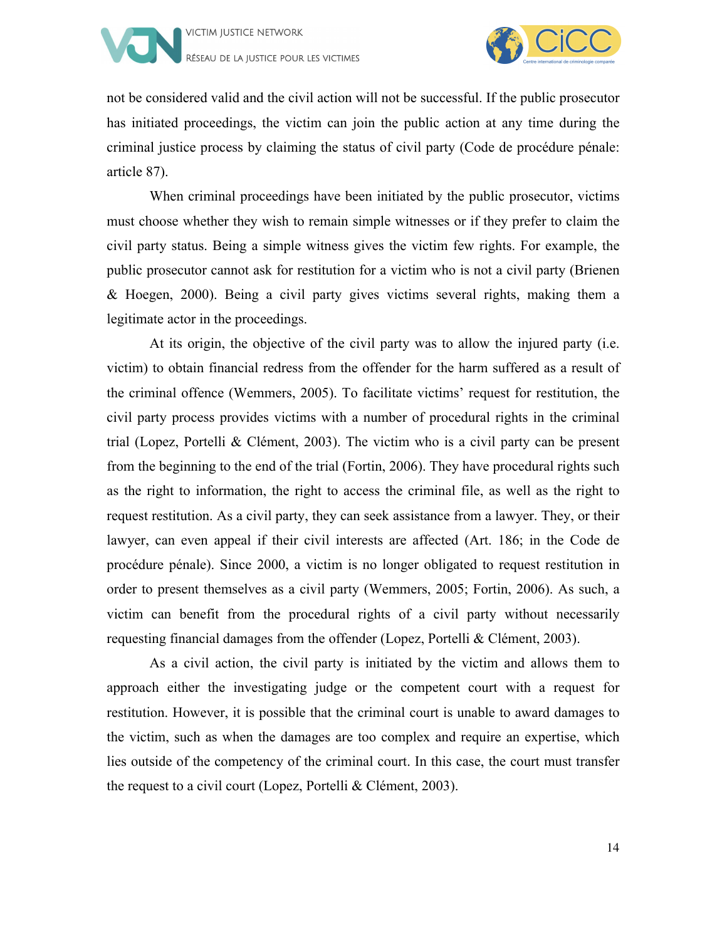



not be considered valid and the civil action will not be successful. If the public prosecutor has initiated proceedings, the victim can join the public action at any time during the criminal justice process by claiming the status of civil party (Code de procédure pénale: article 87).

When criminal proceedings have been initiated by the public prosecutor, victims must choose whether they wish to remain simple witnesses or if they prefer to claim the civil party status. Being a simple witness gives the victim few rights. For example, the public prosecutor cannot ask for restitution for a victim who is not a civil party (Brienen & Hoegen, 2000). Being a civil party gives victims several rights, making them a legitimate actor in the proceedings.

At its origin, the objective of the civil party was to allow the injured party (i.e. victim) to obtain financial redress from the offender for the harm suffered as a result of the criminal offence (Wemmers, 2005). To facilitate victims' request for restitution, the civil party process provides victims with a number of procedural rights in the criminal trial (Lopez, Portelli & Clément, 2003). The victim who is a civil party can be present from the beginning to the end of the trial (Fortin, 2006). They have procedural rights such as the right to information, the right to access the criminal file, as well as the right to request restitution. As a civil party, they can seek assistance from a lawyer. They, or their lawyer, can even appeal if their civil interests are affected (Art. 186; in the Code de procédure pénale). Since 2000, a victim is no longer obligated to request restitution in order to present themselves as a civil party (Wemmers, 2005; Fortin, 2006). As such, a victim can benefit from the procedural rights of a civil party without necessarily requesting financial damages from the offender (Lopez, Portelli & Clément, 2003).

As a civil action, the civil party is initiated by the victim and allows them to approach either the investigating judge or the competent court with a request for restitution. However, it is possible that the criminal court is unable to award damages to the victim, such as when the damages are too complex and require an expertise, which lies outside of the competency of the criminal court. In this case, the court must transfer the request to a civil court (Lopez, Portelli & Clément, 2003).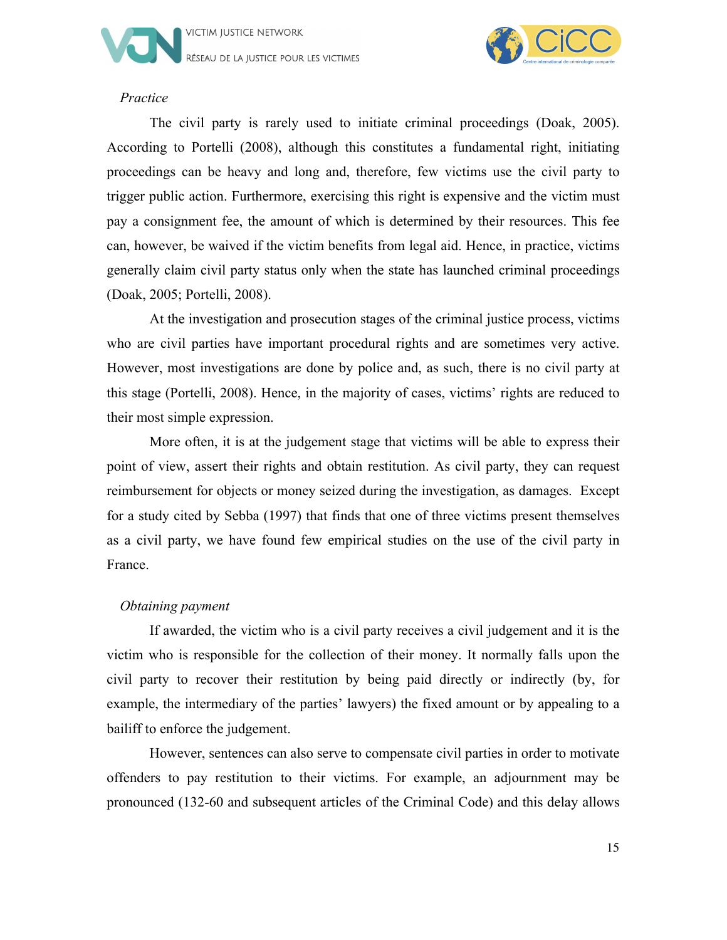



#### *Practice*

The civil party is rarely used to initiate criminal proceedings (Doak, 2005). According to Portelli (2008), although this constitutes a fundamental right, initiating proceedings can be heavy and long and, therefore, few victims use the civil party to trigger public action. Furthermore, exercising this right is expensive and the victim must pay a consignment fee, the amount of which is determined by their resources. This fee can, however, be waived if the victim benefits from legal aid. Hence, in practice, victims generally claim civil party status only when the state has launched criminal proceedings (Doak, 2005; Portelli, 2008).

At the investigation and prosecution stages of the criminal justice process, victims who are civil parties have important procedural rights and are sometimes very active. However, most investigations are done by police and, as such, there is no civil party at this stage (Portelli, 2008). Hence, in the majority of cases, victims' rights are reduced to their most simple expression.

More often, it is at the judgement stage that victims will be able to express their point of view, assert their rights and obtain restitution. As civil party, they can request reimbursement for objects or money seized during the investigation, as damages. Except for a study cited by Sebba (1997) that finds that one of three victims present themselves as a civil party, we have found few empirical studies on the use of the civil party in France.

#### *Obtaining payment*

If awarded, the victim who is a civil party receives a civil judgement and it is the victim who is responsible for the collection of their money. It normally falls upon the civil party to recover their restitution by being paid directly or indirectly (by, for example, the intermediary of the parties' lawyers) the fixed amount or by appealing to a bailiff to enforce the judgement.

However, sentences can also serve to compensate civil parties in order to motivate offenders to pay restitution to their victims. For example, an adjournment may be pronounced (132-60 and subsequent articles of the Criminal Code) and this delay allows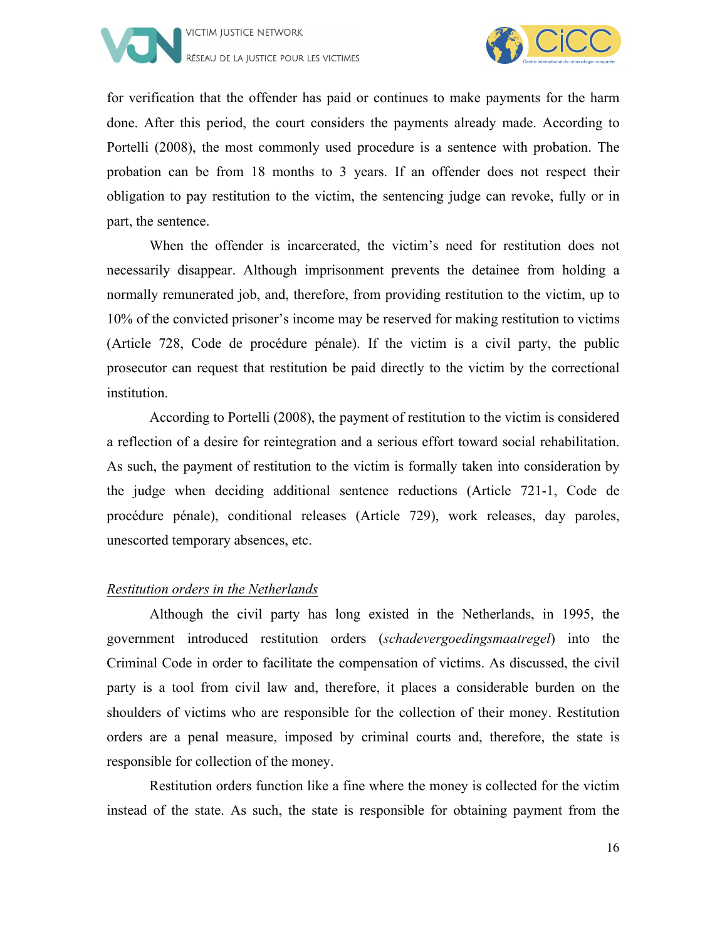



for verification that the offender has paid or continues to make payments for the harm done. After this period, the court considers the payments already made. According to Portelli (2008), the most commonly used procedure is a sentence with probation. The probation can be from 18 months to 3 years. If an offender does not respect their obligation to pay restitution to the victim, the sentencing judge can revoke, fully or in part, the sentence.

When the offender is incarcerated, the victim's need for restitution does not necessarily disappear. Although imprisonment prevents the detainee from holding a normally remunerated job, and, therefore, from providing restitution to the victim, up to 10% of the convicted prisoner's income may be reserved for making restitution to victims (Article 728, Code de procédure pénale). If the victim is a civil party, the public prosecutor can request that restitution be paid directly to the victim by the correctional institution.

According to Portelli (2008), the payment of restitution to the victim is considered a reflection of a desire for reintegration and a serious effort toward social rehabilitation. As such, the payment of restitution to the victim is formally taken into consideration by the judge when deciding additional sentence reductions (Article 721-1, Code de procédure pénale), conditional releases (Article 729), work releases, day paroles, unescorted temporary absences, etc.

#### *Restitution orders in the Netherlands*

Although the civil party has long existed in the Netherlands, in 1995, the government introduced restitution orders (*schadevergoedingsmaatregel*) into the Criminal Code in order to facilitate the compensation of victims. As discussed, the civil party is a tool from civil law and, therefore, it places a considerable burden on the shoulders of victims who are responsible for the collection of their money. Restitution orders are a penal measure, imposed by criminal courts and, therefore, the state is responsible for collection of the money.

Restitution orders function like a fine where the money is collected for the victim instead of the state. As such, the state is responsible for obtaining payment from the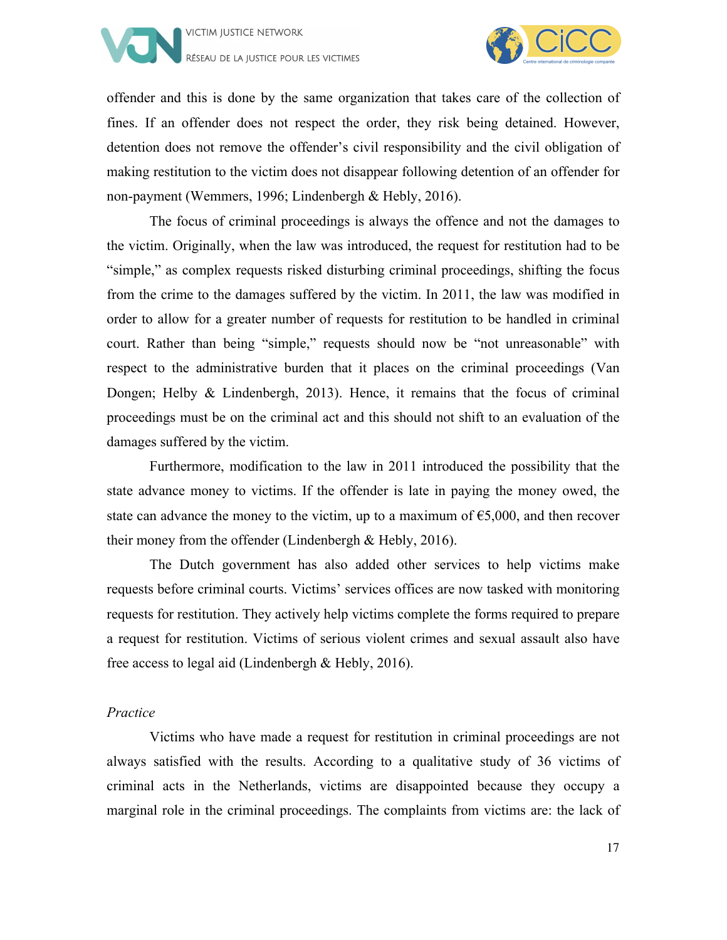



offender and this is done by the same organization that takes care of the collection of fines. If an offender does not respect the order, they risk being detained. However, detention does not remove the offender's civil responsibility and the civil obligation of making restitution to the victim does not disappear following detention of an offender for non-payment (Wemmers, 1996; Lindenbergh & Hebly, 2016).

The focus of criminal proceedings is always the offence and not the damages to the victim. Originally, when the law was introduced, the request for restitution had to be "simple," as complex requests risked disturbing criminal proceedings, shifting the focus from the crime to the damages suffered by the victim. In 2011, the law was modified in order to allow for a greater number of requests for restitution to be handled in criminal court. Rather than being "simple," requests should now be "not unreasonable" with respect to the administrative burden that it places on the criminal proceedings (Van Dongen; Helby & Lindenbergh, 2013). Hence, it remains that the focus of criminal proceedings must be on the criminal act and this should not shift to an evaluation of the damages suffered by the victim.

Furthermore, modification to the law in 2011 introduced the possibility that the state advance money to victims. If the offender is late in paying the money owed, the state can advance the money to the victim, up to a maximum of  $\epsilon$ 5,000, and then recover their money from the offender (Lindenbergh & Hebly, 2016).

The Dutch government has also added other services to help victims make requests before criminal courts. Victims' services offices are now tasked with monitoring requests for restitution. They actively help victims complete the forms required to prepare a request for restitution. Victims of serious violent crimes and sexual assault also have free access to legal aid (Lindenbergh & Hebly, 2016).

#### *Practice*

Victims who have made a request for restitution in criminal proceedings are not always satisfied with the results. According to a qualitative study of 36 victims of criminal acts in the Netherlands, victims are disappointed because they occupy a marginal role in the criminal proceedings. The complaints from victims are: the lack of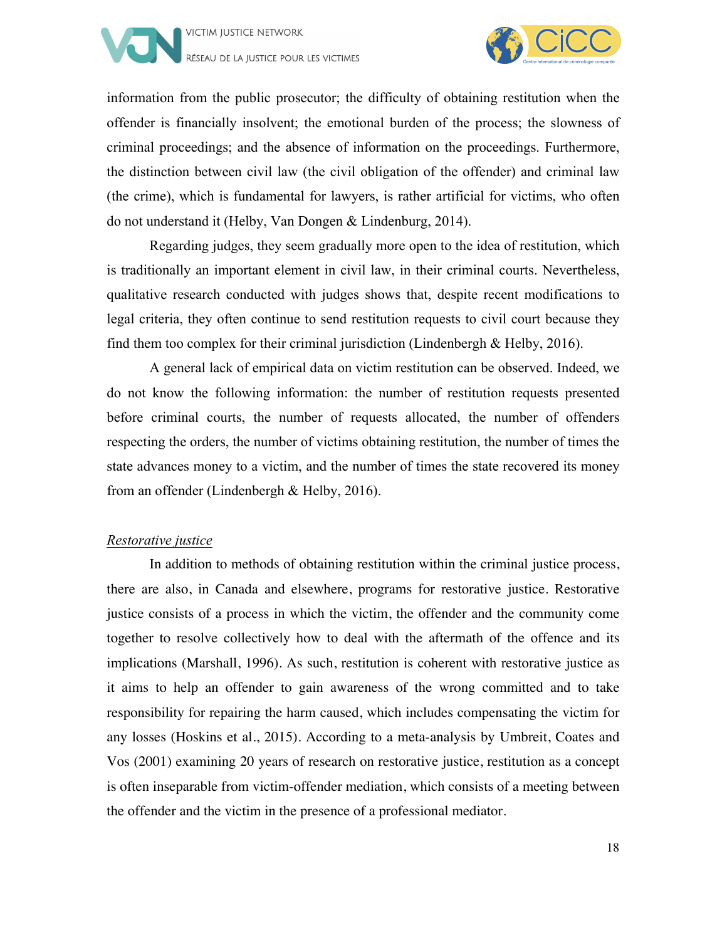



information from the public prosecutor; the difficulty of obtaining restitution when the offender is financially insolvent; the emotional burden of the process; the slowness of criminal proceedings; and the absence of information on the proceedings. Furthermore, the distinction between civil law (the civil obligation of the offender) and criminal law (the crime), which is fundamental for lawyers, is rather artificial for victims, who often do not understand it (Helby, Van Dongen & Lindenburg, 2014).

Regarding judges, they seem gradually more open to the idea of restitution, which is traditionally an important element in civil law, in their criminal courts. Nevertheless, qualitative research conducted with judges shows that, despite recent modifications to legal criteria, they often continue to send restitution requests to civil court because they find them too complex for their criminal jurisdiction (Lindenbergh  $& Helby, 2016$ ).

A general lack of empirical data on victim restitution can be observed. Indeed, we do not know the following information: the number of restitution requests presented before criminal courts, the number of requests allocated, the number of offenders respecting the orders, the number of victims obtaining restitution, the number of times the state advances money to a victim, and the number of times the state recovered its money from an offender (Lindenbergh & Helby, 2016).

#### *Restorative justice*

In addition to methods of obtaining restitution within the criminal justice process, there are also, in Canada and elsewhere, programs for restorative justice. Restorative justice consists of a process in which the victim, the offender and the community come together to resolve collectively how to deal with the aftermath of the offence and its implications (Marshall, 1996). As such, restitution is coherent with restorative justice as it aims to help an offender to gain awareness of the wrong committed and to take responsibility for repairing the harm caused, which includes compensating the victim for any losses (Hoskins et al., 2015). According to a meta-analysis by Umbreit, Coates and Vos (2001) examining 20 years of research on restorative justice, restitution as a concept is often inseparable from victim-offender mediation, which consists of a meeting between the offender and the victim in the presence of a professional mediator.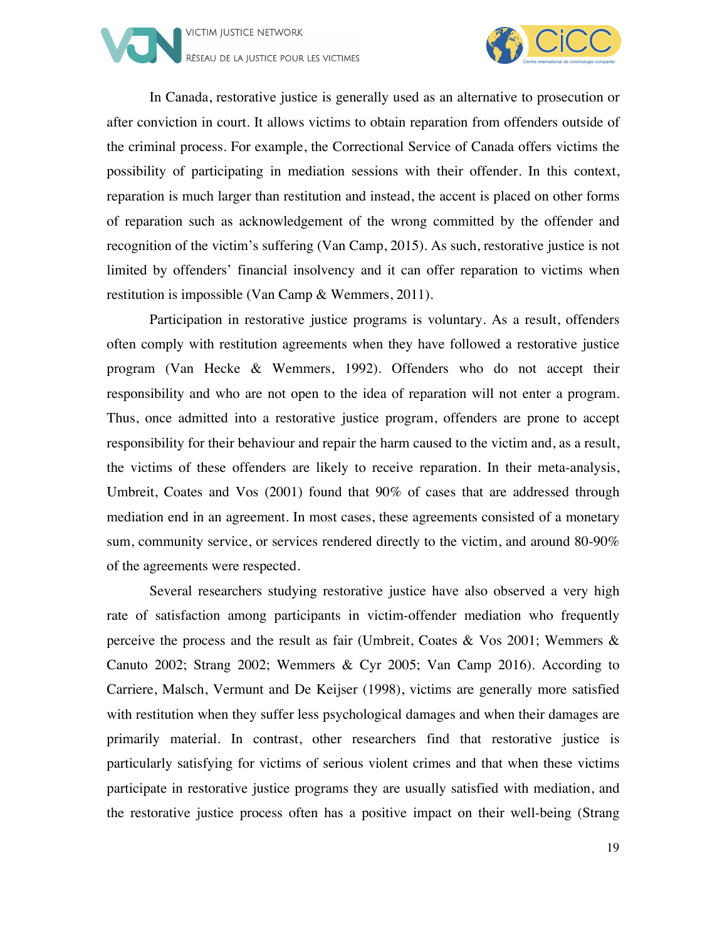



In Canada, restorative justice is generally used as an alternative to prosecution or after conviction in court. It allows victims to obtain reparation from offenders outside of the criminal process. For example, the Correctional Service of Canada offers victims the possibility of participating in mediation sessions with their offender. In this context, reparation is much larger than restitution and instead, the accent is placed on other forms of reparation such as acknowledgement of the wrong committed by the offender and recognition of the victim's suffering (Van Camp, 2015). As such, restorative justice is not limited by offenders' financial insolvency and it can offer reparation to victims when restitution is impossible (Van Camp & Wemmers, 2011).

Participation in restorative justice programs is voluntary. As a result, offenders often comply with restitution agreements when they have followed a restorative justice program (Van Hecke & Wemmers, 1992). Offenders who do not accept their responsibility and who are not open to the idea of reparation will not enter a program. Thus, once admitted into a restorative justice program, offenders are prone to accept responsibility for their behaviour and repair the harm caused to the victim and, as a result, the victims of these offenders are likely to receive reparation. In their meta-analysis, Umbreit, Coates and Vos (2001) found that 90% of cases that are addressed through mediation end in an agreement. In most cases, these agreements consisted of a monetary sum, community service, or services rendered directly to the victim, and around 80-90% of the agreements were respected.

Several researchers studying restorative justice have also observed a very high rate of satisfaction among participants in victim-offender mediation who frequently perceive the process and the result as fair (Umbreit, Coates & Vos 2001; Wemmers & Canuto 2002; Strang 2002; Wemmers & Cyr 2005; Van Camp 2016). According to Carriere, Malsch, Vermunt and De Keijser (1998), victims are generally more satisfied with restitution when they suffer less psychological damages and when their damages are primarily material. In contrast, other researchers find that restorative justice is particularly satisfying for victims of serious violent crimes and that when these victims participate in restorative justice programs they are usually satisfied with mediation, and the restorative justice process often has a positive impact on their well-being (Strang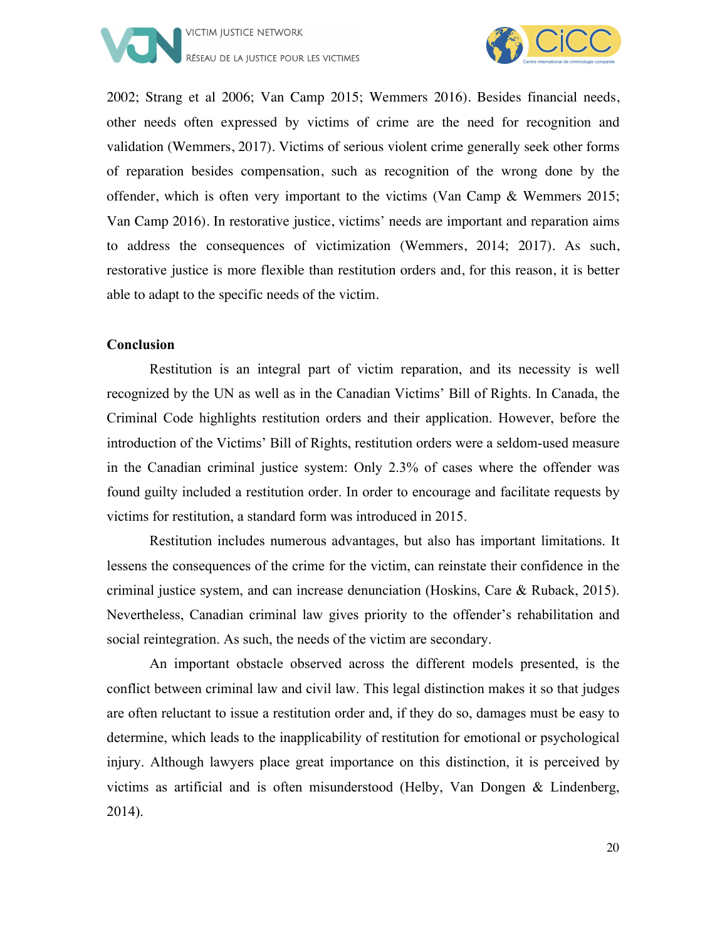



2002; Strang et al 2006; Van Camp 2015; Wemmers 2016). Besides financial needs, other needs often expressed by victims of crime are the need for recognition and validation (Wemmers, 2017). Victims of serious violent crime generally seek other forms of reparation besides compensation, such as recognition of the wrong done by the offender, which is often very important to the victims (Van Camp & Wemmers 2015; Van Camp 2016). In restorative justice, victims' needs are important and reparation aims to address the consequences of victimization (Wemmers, 2014; 2017). As such, restorative justice is more flexible than restitution orders and, for this reason, it is better able to adapt to the specific needs of the victim.

#### **Conclusion**

Restitution is an integral part of victim reparation, and its necessity is well recognized by the UN as well as in the Canadian Victims' Bill of Rights. In Canada, the Criminal Code highlights restitution orders and their application. However, before the introduction of the Victims' Bill of Rights, restitution orders were a seldom-used measure in the Canadian criminal justice system: Only 2.3% of cases where the offender was found guilty included a restitution order. In order to encourage and facilitate requests by victims for restitution, a standard form was introduced in 2015.

Restitution includes numerous advantages, but also has important limitations. It lessens the consequences of the crime for the victim, can reinstate their confidence in the criminal justice system, and can increase denunciation (Hoskins, Care & Ruback, 2015). Nevertheless, Canadian criminal law gives priority to the offender's rehabilitation and social reintegration. As such, the needs of the victim are secondary.

An important obstacle observed across the different models presented, is the conflict between criminal law and civil law. This legal distinction makes it so that judges are often reluctant to issue a restitution order and, if they do so, damages must be easy to determine, which leads to the inapplicability of restitution for emotional or psychological injury. Although lawyers place great importance on this distinction, it is perceived by victims as artificial and is often misunderstood (Helby, Van Dongen & Lindenberg, 2014).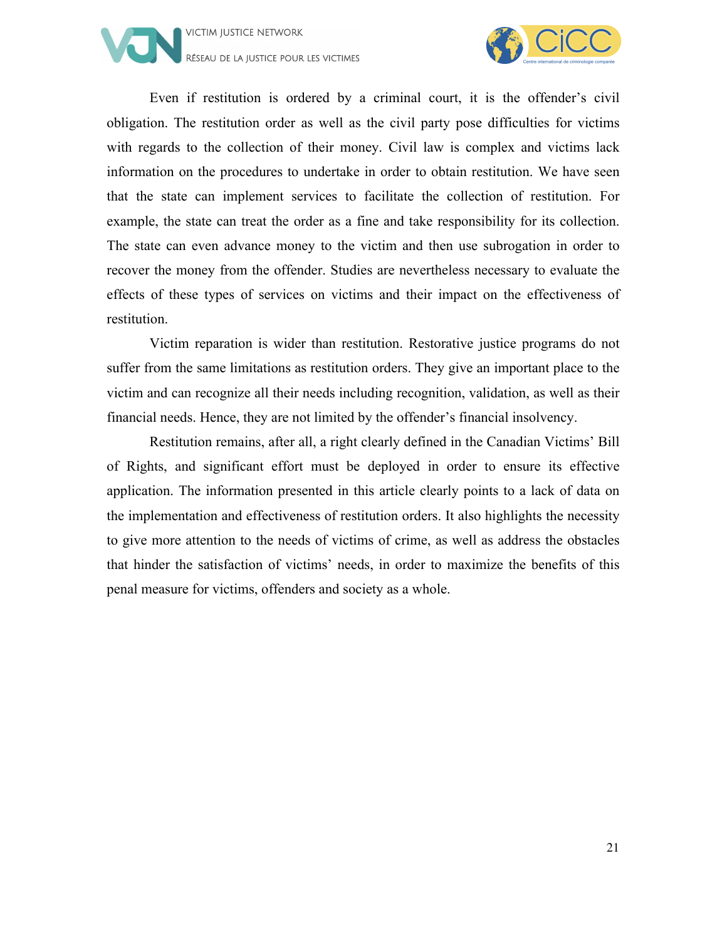



Even if restitution is ordered by a criminal court, it is the offender's civil obligation. The restitution order as well as the civil party pose difficulties for victims with regards to the collection of their money. Civil law is complex and victims lack information on the procedures to undertake in order to obtain restitution. We have seen that the state can implement services to facilitate the collection of restitution. For example, the state can treat the order as a fine and take responsibility for its collection. The state can even advance money to the victim and then use subrogation in order to recover the money from the offender. Studies are nevertheless necessary to evaluate the effects of these types of services on victims and their impact on the effectiveness of restitution.

Victim reparation is wider than restitution. Restorative justice programs do not suffer from the same limitations as restitution orders. They give an important place to the victim and can recognize all their needs including recognition, validation, as well as their financial needs. Hence, they are not limited by the offender's financial insolvency.

Restitution remains, after all, a right clearly defined in the Canadian Victims' Bill of Rights, and significant effort must be deployed in order to ensure its effective application. The information presented in this article clearly points to a lack of data on the implementation and effectiveness of restitution orders. It also highlights the necessity to give more attention to the needs of victims of crime, as well as address the obstacles that hinder the satisfaction of victims' needs, in order to maximize the benefits of this penal measure for victims, offenders and society as a whole.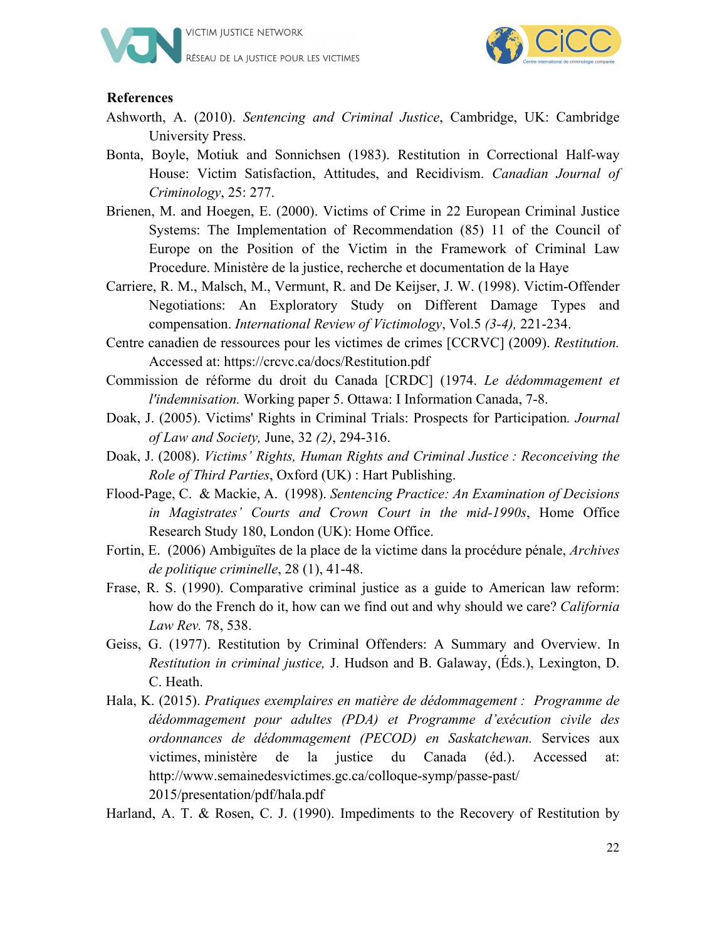



#### **References**

- Ashworth, A. (2010). *Sentencing and Criminal Justice*, Cambridge, UK: Cambridge University Press.
- Bonta, Boyle, Motiuk and Sonnichsen (1983). Restitution in Correctional Half-way House: Victim Satisfaction, Attitudes, and Recidivism. *Canadian Journal of Criminology*, 25: 277.
- Brienen, M. and Hoegen, E. (2000). Victims of Crime in 22 European Criminal Justice Systems: The Implementation of Recommendation (85) 11 of the Council of Europe on the Position of the Victim in the Framework of Criminal Law Procedure. Ministère de la justice, recherche et documentation de la Haye
- Carriere, R. M., Malsch, M., Vermunt, R. and De Keijser, J. W. (1998). Victim-Offender Negotiations: An Exploratory Study on Different Damage Types and compensation. *International Review of Victimology*, Vol.5 *(3-4),* 221-234.
- Centre canadien de ressources pour les victimes de crimes [CCRVC] (2009). *Restitution.*  Accessed at: https://crcvc.ca/docs/Restitution.pdf
- Commission de réforme du droit du Canada [CRDC] (1974. *Le dédommagement et l'indemnisation.* Working paper 5. Ottawa: I Information Canada, 7-8.
- Doak, J. (2005). Victims' Rights in Criminal Trials: Prospects for Participation*. Journal of Law and Society,* June, 32 *(2)*, 294-316.
- Doak, J. (2008). *Victims' Rights, Human Rights and Criminal Justice : Reconceiving the Role of Third Parties*, Oxford (UK) : Hart Publishing.
- Flood-Page, C. & Mackie, A. (1998). *Sentencing Practice: An Examination of Decisions in Magistrates' Courts and Crown Court in the mid-1990s*, Home Office Research Study 180, London (UK): Home Office.
- Fortin, E. (2006) Ambiguïtes de la place de la victime dans la procédure pénale, *Archives de politique criminelle*, 28 (1), 41-48.
- Frase, R. S. (1990). Comparative criminal justice as a guide to American law reform: how do the French do it, how can we find out and why should we care? *California Law Rev.* 78, 538.
- Geiss, G. (1977). Restitution by Criminal Offenders: A Summary and Overview. In *Restitution in criminal justice,* J. Hudson and B. Galaway, (Éds.), Lexington, D. C. Heath.
- Hala, K. (2015). *Pratiques exemplaires en matière de dédommagement : Programme de dédommagement pour adultes (PDA) et Programme d'exécution civile des ordonnances de dédommagement (PECOD) en Saskatchewan.* Services aux victimes, ministère de la justice du Canada (éd.). Accessed at: http://www.semainedesvictimes.gc.ca/colloque-symp/passe-past/ 2015/presentation/pdf/hala.pdf
- Harland, A. T. & Rosen, C. J. (1990). Impediments to the Recovery of Restitution by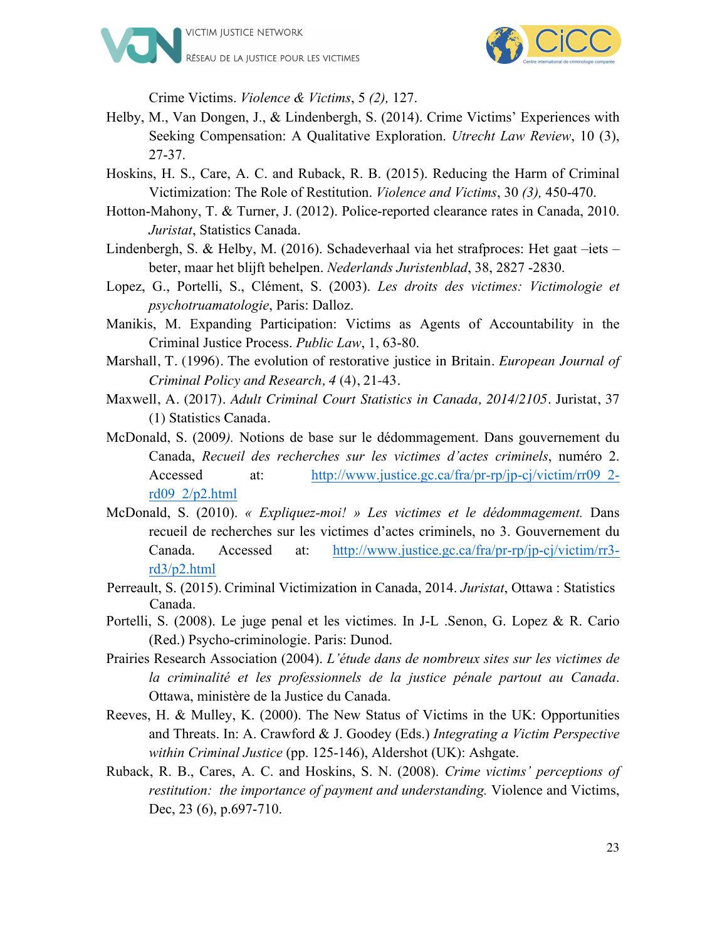



Crime Victims. *Violence & Victims*, 5 *(2),* 127.

- Helby, M., Van Dongen, J., & Lindenbergh, S. (2014). Crime Victims' Experiences with Seeking Compensation: A Qualitative Exploration. *Utrecht Law Review*, 10 (3), 27-37.
- Hoskins, H. S., Care, A. C. and Ruback, R. B. (2015). Reducing the Harm of Criminal Victimization: The Role of Restitution. *Violence and Victims*, 30 *(3),* 450-470.
- Hotton-Mahony, T. & Turner, J. (2012). Police-reported clearance rates in Canada, 2010. *Juristat*, Statistics Canada.
- Lindenbergh, S. & Helby, M. (2016). Schadeverhaal via het strafproces: Het gaat –iets beter, maar het blijft behelpen. *Nederlands Juristenblad*, 38, 2827 -2830.
- Lopez, G., Portelli, S., Clément, S. (2003). *Les droits des victimes: Victimologie et psychotruamatologie*, Paris: Dalloz.
- Manikis, M. Expanding Participation: Victims as Agents of Accountability in the Criminal Justice Process. *Public Law*, 1, 63-80.
- Marshall, T. (1996). The evolution of restorative justice in Britain. *European Journal of Criminal Policy and Research, 4* (4), 21-43.
- Maxwell, A. (2017). *Adult Criminal Court Statistics in Canada, 2014/2105*. Juristat, 37 (1) Statistics Canada.
- McDonald, S. (2009*).* Notions de base sur le dédommagement. Dans gouvernement du Canada, *Recueil des recherches sur les victimes d'actes criminels*, numéro 2. Accessed at: http://www.justice.gc.ca/fra/pr-rp/jp-cj/victim/rr09\_2rd09\_2/p2.html
- McDonald, S. (2010). *« Expliquez-moi! » Les victimes et le dédommagement.* Dans recueil de recherches sur les victimes d'actes criminels, no 3. Gouvernement du Canada. Accessed at: http://www.justice.gc.ca/fra/pr-rp/jp-cj/victim/rr3 rd3/p2.html
- Perreault, S. (2015). Criminal Victimization in Canada, 2014. *Juristat*, Ottawa : Statistics Canada.
- Portelli, S. (2008). Le juge penal et les victimes. In J-L .Senon, G. Lopez & R. Cario (Red.) Psycho-criminologie. Paris: Dunod.
- Prairies Research Association (2004). *L'étude dans de nombreux sites sur les victimes de la criminalité et les professionnels de la justice pénale partout au Canada*. Ottawa, ministère de la Justice du Canada.
- Reeves, H. & Mulley, K. (2000). The New Status of Victims in the UK: Opportunities and Threats. In: A. Crawford & J. Goodey (Eds.) *Integrating a Victim Perspective within Criminal Justice* (pp. 125-146), Aldershot (UK): Ashgate.
- Ruback, R. B., Cares, A. C. and Hoskins, S. N. (2008). *Crime victims' perceptions of restitution: the importance of payment and understanding.* Violence and Victims, Dec, 23 (6), p.697-710.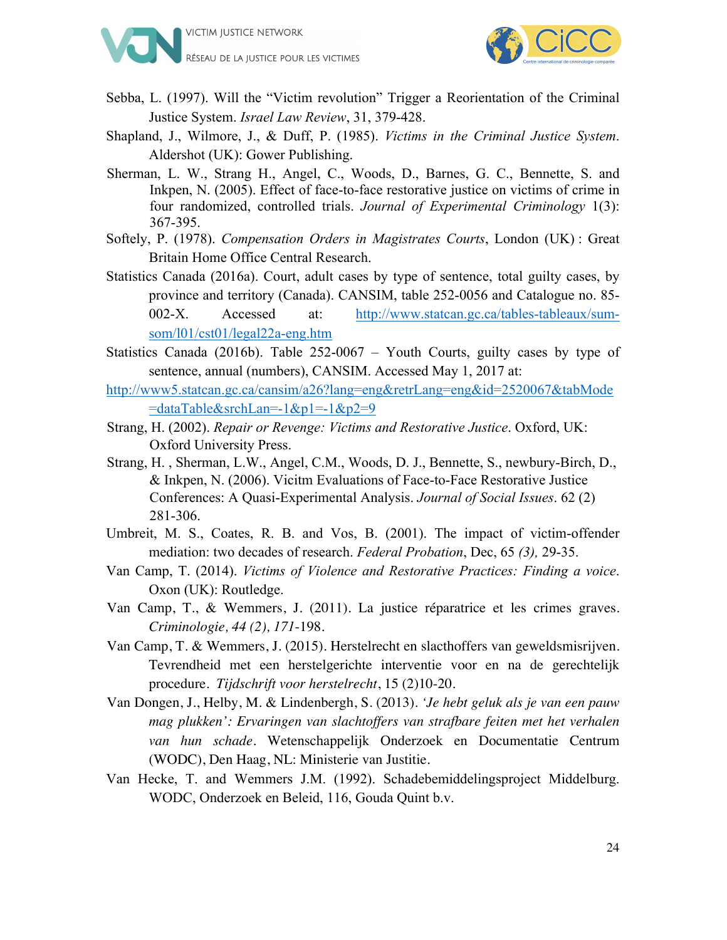



- Sebba, L. (1997). Will the "Victim revolution" Trigger a Reorientation of the Criminal Justice System. *Israel Law Review*, 31, 379-428.
- Shapland, J., Wilmore, J., & Duff, P. (1985). *Victims in the Criminal Justice System*. Aldershot (UK): Gower Publishing.
- Sherman, L. W., Strang H., Angel, C., Woods, D., Barnes, G. C., Bennette, S. and Inkpen, N. (2005). Effect of face-to-face restorative justice on victims of crime in four randomized, controlled trials. *Journal of Experimental Criminology* 1(3): 367-395.
- Softely, P. (1978). *Compensation Orders in Magistrates Courts*, London (UK) : Great Britain Home Office Central Research.
- Statistics Canada (2016a). Court, adult cases by type of sentence, total guilty cases, by province and territory (Canada). CANSIM, table 252-0056 and Catalogue no. 85- 002-X. Accessed at: http://www.statcan.gc.ca/tables-tableaux/sumsom/l01/cst01/legal22a-eng.htm
- Statistics Canada (2016b). Table 252-0067 Youth Courts, guilty cases by type of sentence, annual (numbers), CANSIM. Accessed May 1, 2017 at:
- http://www5.statcan.gc.ca/cansim/a26?lang=eng&retrLang=eng&id=2520067&tabMode  $=$ dataTable&srchLan= $-1$ &p1= $-1$ &p2=9
- Strang, H. (2002). *Repair or Revenge: Victims and Restorative Justice*. Oxford, UK: Oxford University Press.
- Strang, H. , Sherman, L.W., Angel, C.M., Woods, D. J., Bennette, S., newbury-Birch, D., & Inkpen, N. (2006). Vicitm Evaluations of Face-to-Face Restorative Justice Conferences: A Quasi-Experimental Analysis. *Journal of Social Issues*. 62 (2) 281-306.
- Umbreit, M. S., Coates, R. B. and Vos, B. (2001). The impact of victim-offender mediation: two decades of research. *Federal Probation*, Dec, 65 *(3),* 29-35.
- Van Camp, T. (2014). *Victims of Violence and Restorative Practices: Finding a voice*. Oxon (UK): Routledge.
- Van Camp, T., & Wemmers, J. (2011). La justice réparatrice et les crimes graves. *Criminologie, 44 (2), 171*-198.
- Van Camp, T. & Wemmers, J. (2015). Herstelrecht en slacthoffers van geweldsmisrijven. Tevrendheid met een herstelgerichte interventie voor en na de gerechtelijk procedure. *Tijdschrift voor herstelrecht*, 15 (2)10-20.
- Van Dongen, J., Helby, M. & Lindenbergh, S. (2013). *'Je hebt geluk als je van een pauw mag plukken': Ervaringen van slachtoffers van strafbare feiten met het verhalen van hun schade*. Wetenschappelijk Onderzoek en Documentatie Centrum (WODC), Den Haag, NL: Ministerie van Justitie.
- Van Hecke, T. and Wemmers J.M. (1992). Schadebemiddelingsproject Middelburg. WODC, Onderzoek en Beleid, 116, Gouda Quint b.v.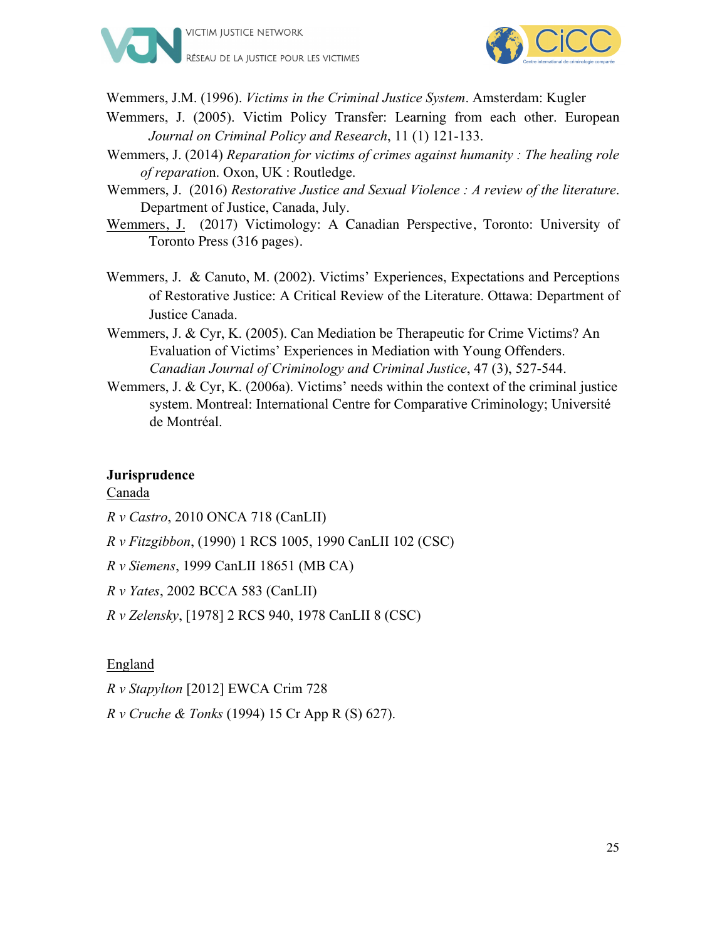



Wemmers, J.M. (1996). *Victims in the Criminal Justice System*. Amsterdam: Kugler

- Wemmers, J. (2005). Victim Policy Transfer: Learning from each other. European *Journal on Criminal Policy and Research*, 11 (1) 121-133.
- Wemmers, J. (2014) *Reparation for victims of crimes against humanity : The healing role of reparatio*n. Oxon, UK : Routledge.
- Wemmers, J. (2016) *Restorative Justice and Sexual Violence : A review of the literature*. Department of Justice, Canada, July.
- Wemmers, J. (2017) Victimology: A Canadian Perspective, Toronto: University of Toronto Press (316 pages).
- Wemmers, J. & Canuto, M. (2002). Victims' Experiences, Expectations and Perceptions of Restorative Justice: A Critical Review of the Literature. Ottawa: Department of Justice Canada.
- Wemmers, J. & Cyr, K. (2005). Can Mediation be Therapeutic for Crime Victims? An Evaluation of Victims' Experiences in Mediation with Young Offenders. *Canadian Journal of Criminology and Criminal Justice*, 47 (3), 527-544.
- Wemmers, J. & Cyr, K. (2006a). Victims' needs within the context of the criminal justice system. Montreal: International Centre for Comparative Criminology; Université de Montréal.

#### **Jurisprudence**

#### Canada

- *R v Castro*, 2010 ONCA 718 (CanLII)
- *R v Fitzgibbon*, (1990) 1 RCS 1005, 1990 CanLII 102 (CSC)
- *R v Siemens*, 1999 CanLII 18651 (MB CA)
- *R v Yates*, 2002 BCCA 583 (CanLII)
- *R v Zelensky*, [1978] 2 RCS 940, 1978 CanLII 8 (CSC)

#### England

- *R v Stapylton* [2012] EWCA Crim 728
- *R v Cruche & Tonks* (1994) 15 Cr App R (S) 627).